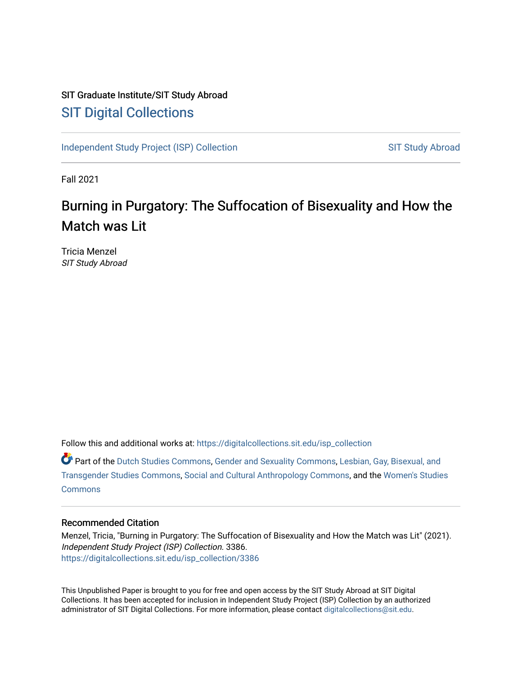# SIT Graduate Institute/SIT Study Abroad [SIT Digital Collections](https://digitalcollections.sit.edu/)

[Independent Study Project \(ISP\) Collection](https://digitalcollections.sit.edu/isp_collection) SIT Study Abroad

Fall 2021

# Burning in Purgatory: The Suffocation of Bisexuality and How the Match was Lit

Tricia Menzel SIT Study Abroad

Follow this and additional works at: [https://digitalcollections.sit.edu/isp\\_collection](https://digitalcollections.sit.edu/isp_collection?utm_source=digitalcollections.sit.edu%2Fisp_collection%2F3386&utm_medium=PDF&utm_campaign=PDFCoverPages) 

Part of the [Dutch Studies Commons,](http://network.bepress.com/hgg/discipline/478?utm_source=digitalcollections.sit.edu%2Fisp_collection%2F3386&utm_medium=PDF&utm_campaign=PDFCoverPages) [Gender and Sexuality Commons](http://network.bepress.com/hgg/discipline/420?utm_source=digitalcollections.sit.edu%2Fisp_collection%2F3386&utm_medium=PDF&utm_campaign=PDFCoverPages), [Lesbian, Gay, Bisexual, and](http://network.bepress.com/hgg/discipline/560?utm_source=digitalcollections.sit.edu%2Fisp_collection%2F3386&utm_medium=PDF&utm_campaign=PDFCoverPages) [Transgender Studies Commons,](http://network.bepress.com/hgg/discipline/560?utm_source=digitalcollections.sit.edu%2Fisp_collection%2F3386&utm_medium=PDF&utm_campaign=PDFCoverPages) [Social and Cultural Anthropology Commons](http://network.bepress.com/hgg/discipline/323?utm_source=digitalcollections.sit.edu%2Fisp_collection%2F3386&utm_medium=PDF&utm_campaign=PDFCoverPages), and the [Women's Studies](http://network.bepress.com/hgg/discipline/561?utm_source=digitalcollections.sit.edu%2Fisp_collection%2F3386&utm_medium=PDF&utm_campaign=PDFCoverPages)  **[Commons](http://network.bepress.com/hgg/discipline/561?utm_source=digitalcollections.sit.edu%2Fisp_collection%2F3386&utm_medium=PDF&utm_campaign=PDFCoverPages)** 

#### Recommended Citation

Menzel, Tricia, "Burning in Purgatory: The Suffocation of Bisexuality and How the Match was Lit" (2021). Independent Study Project (ISP) Collection. 3386. [https://digitalcollections.sit.edu/isp\\_collection/3386](https://digitalcollections.sit.edu/isp_collection/3386?utm_source=digitalcollections.sit.edu%2Fisp_collection%2F3386&utm_medium=PDF&utm_campaign=PDFCoverPages) 

This Unpublished Paper is brought to you for free and open access by the SIT Study Abroad at SIT Digital Collections. It has been accepted for inclusion in Independent Study Project (ISP) Collection by an authorized administrator of SIT Digital Collections. For more information, please contact [digitalcollections@sit.edu](mailto:digitalcollections@sit.edu).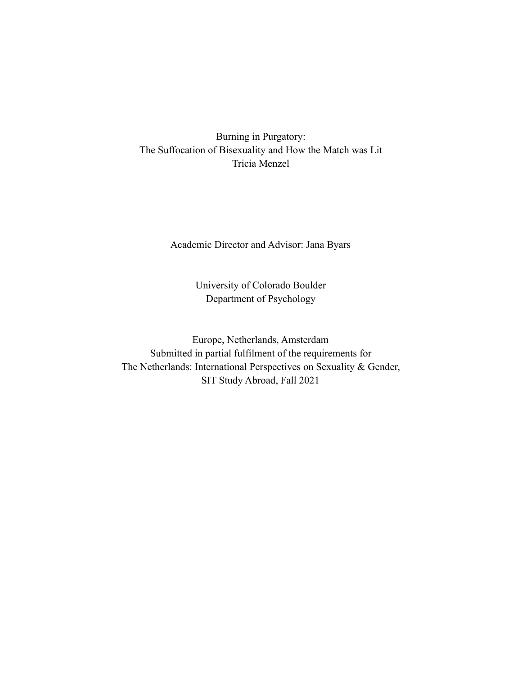Burning in Purgatory: The Suffocation of Bisexuality and How the Match was Lit Tricia Menzel

Academic Director and Advisor: Jana Byars

University of Colorado Boulder Department of Psychology

Europe, Netherlands, Amsterdam Submitted in partial fulfilment of the requirements for The Netherlands: International Perspectives on Sexuality & Gender, SIT Study Abroad, Fall 2021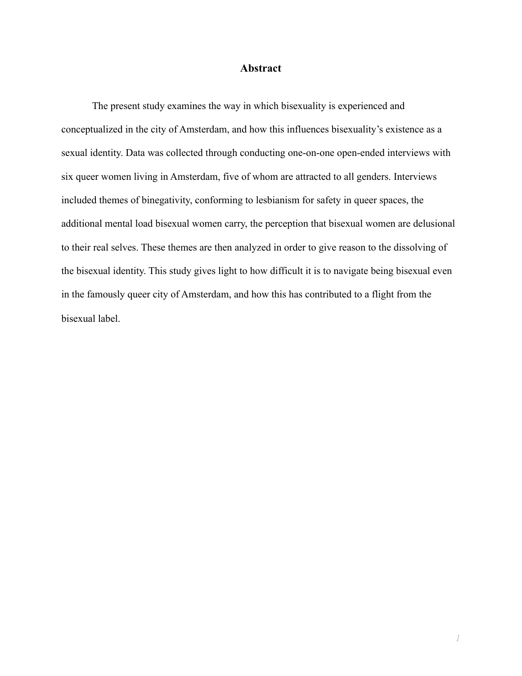#### **Abstract**

The present study examines the way in which bisexuality is experienced and conceptualized in the city of Amsterdam, and how this influences bisexuality's existence as a sexual identity. Data was collected through conducting one-on-one open-ended interviews with six queer women living in Amsterdam, five of whom are attracted to all genders. Interviews included themes of binegativity, conforming to lesbianism for safety in queer spaces, the additional mental load bisexual women carry, the perception that bisexual women are delusional to their real selves. These themes are then analyzed in order to give reason to the dissolving of the bisexual identity. This study gives light to how difficult it is to navigate being bisexual even in the famously queer city of Amsterdam, and how this has contributed to a flight from the bisexual label.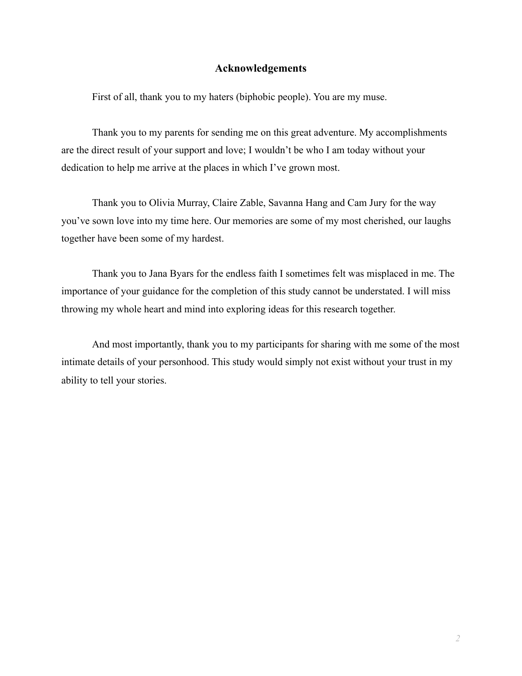#### **Acknowledgements**

First of all, thank you to my haters (biphobic people). You are my muse.

Thank you to my parents for sending me on this great adventure. My accomplishments are the direct result of your support and love; I wouldn't be who I am today without your dedication to help me arrive at the places in which I've grown most.

Thank you to Olivia Murray, Claire Zable, Savanna Hang and Cam Jury for the way you've sown love into my time here. Our memories are some of my most cherished, our laughs together have been some of my hardest.

Thank you to Jana Byars for the endless faith I sometimes felt was misplaced in me. The importance of your guidance for the completion of this study cannot be understated. I will miss throwing my whole heart and mind into exploring ideas for this research together.

And most importantly, thank you to my participants for sharing with me some of the most intimate details of your personhood. This study would simply not exist without your trust in my ability to tell your stories.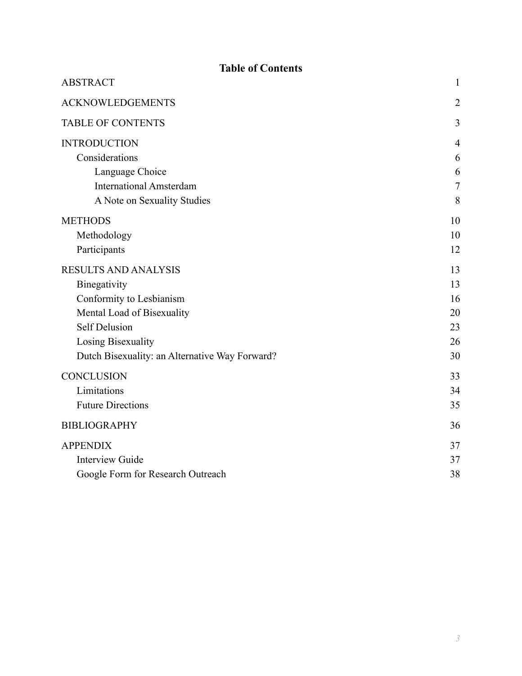| <b>Table of Contents</b>                       |                |
|------------------------------------------------|----------------|
| <b>ABSTRACT</b>                                | $\mathbf{1}$   |
| <b>ACKNOWLEDGEMENTS</b>                        | $\overline{2}$ |
| <b>TABLE OF CONTENTS</b>                       | 3              |
| <b>INTRODUCTION</b>                            | $\overline{4}$ |
| Considerations                                 | 6              |
| Language Choice                                | 6              |
| <b>International Amsterdam</b>                 | $\overline{7}$ |
| A Note on Sexuality Studies                    | 8              |
| <b>METHODS</b>                                 | 10             |
| Methodology                                    | 10             |
| Participants                                   | 12             |
| <b>RESULTS AND ANALYSIS</b>                    | 13             |
| Binegativity                                   | 13             |
| Conformity to Lesbianism                       | 16             |
| Mental Load of Bisexuality                     | 20             |
| <b>Self Delusion</b>                           | 23             |
| Losing Bisexuality                             | 26             |
| Dutch Bisexuality: an Alternative Way Forward? | 30             |
| <b>CONCLUSION</b>                              | 33             |
| Limitations                                    | 34             |
| <b>Future Directions</b>                       | 35             |
| <b>BIBLIOGRAPHY</b>                            | 36             |
| <b>APPENDIX</b>                                | 37             |
| <b>Interview Guide</b>                         | 37             |
| Google Form for Research Outreach              | 38             |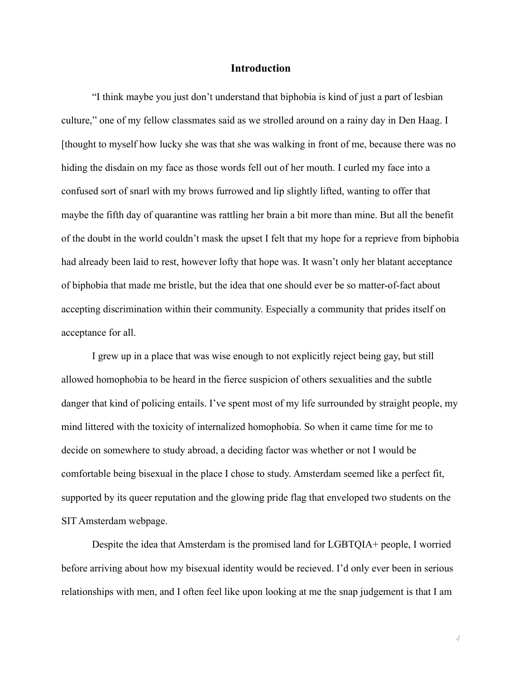#### **Introduction**

"I think maybe you just don't understand that biphobia is kind of just a part of lesbian culture," one of my fellow classmates said as we strolled around on a rainy day in Den Haag. I [thought to myself how lucky she was that she was walking in front of me, because there was no hiding the disdain on my face as those words fell out of her mouth. I curled my face into a confused sort of snarl with my brows furrowed and lip slightly lifted, wanting to offer that maybe the fifth day of quarantine was rattling her brain a bit more than mine. But all the benefit of the doubt in the world couldn't mask the upset I felt that my hope for a reprieve from biphobia had already been laid to rest, however lofty that hope was. It wasn't only her blatant acceptance of biphobia that made me bristle, but the idea that one should ever be so matter-of-fact about accepting discrimination within their community. Especially a community that prides itself on acceptance for all.

I grew up in a place that was wise enough to not explicitly reject being gay, but still allowed homophobia to be heard in the fierce suspicion of others sexualities and the subtle danger that kind of policing entails. I've spent most of my life surrounded by straight people, my mind littered with the toxicity of internalized homophobia. So when it came time for me to decide on somewhere to study abroad, a deciding factor was whether or not I would be comfortable being bisexual in the place I chose to study. Amsterdam seemed like a perfect fit, supported by its queer reputation and the glowing pride flag that enveloped two students on the SIT Amsterdam webpage.

Despite the idea that Amsterdam is the promised land for LGBTQIA+ people, I worried before arriving about how my bisexual identity would be recieved. I'd only ever been in serious relationships with men, and I often feel like upon looking at me the snap judgement is that I am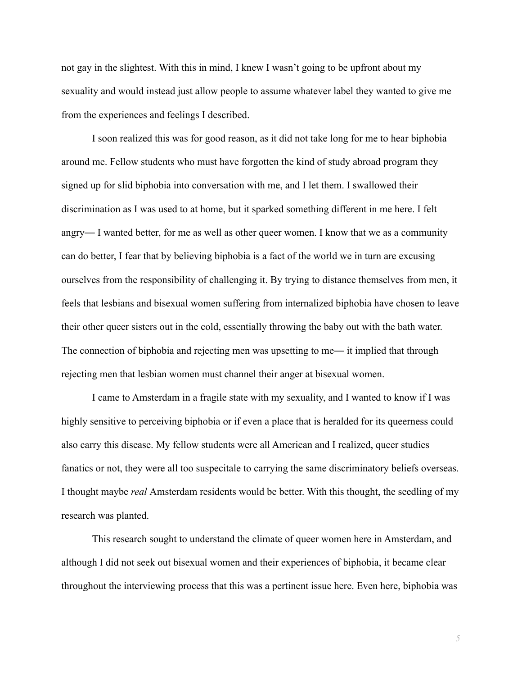not gay in the slightest. With this in mind, I knew I wasn't going to be upfront about my sexuality and would instead just allow people to assume whatever label they wanted to give me from the experiences and feelings I described.

I soon realized this was for good reason, as it did not take long for me to hear biphobia around me. Fellow students who must have forgotten the kind of study abroad program they signed up for slid biphobia into conversation with me, and I let them. I swallowed their discrimination as I was used to at home, but it sparked something different in me here. I felt angry— I wanted better, for me as well as other queer women. I know that we as a community can do better, I fear that by believing biphobia is a fact of the world we in turn are excusing ourselves from the responsibility of challenging it. By trying to distance themselves from men, it feels that lesbians and bisexual women suffering from internalized biphobia have chosen to leave their other queer sisters out in the cold, essentially throwing the baby out with the bath water. The connection of biphobia and rejecting men was upsetting to me— it implied that through rejecting men that lesbian women must channel their anger at bisexual women.

I came to Amsterdam in a fragile state with my sexuality, and I wanted to know if I was highly sensitive to perceiving biphobia or if even a place that is heralded for its queerness could also carry this disease. My fellow students were all American and I realized, queer studies fanatics or not, they were all too suspecitale to carrying the same discriminatory beliefs overseas. I thought maybe *real* Amsterdam residents would be better. With this thought, the seedling of my research was planted.

This research sought to understand the climate of queer women here in Amsterdam, and although I did not seek out bisexual women and their experiences of biphobia, it became clear throughout the interviewing process that this was a pertinent issue here. Even here, biphobia was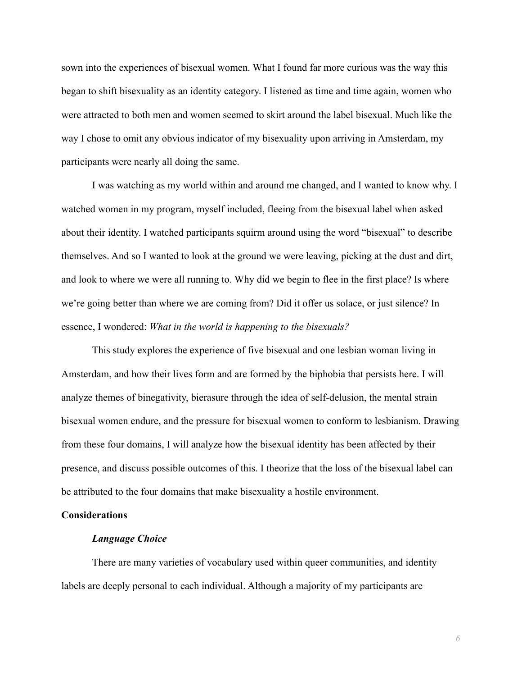sown into the experiences of bisexual women. What I found far more curious was the way this began to shift bisexuality as an identity category. I listened as time and time again, women who were attracted to both men and women seemed to skirt around the label bisexual. Much like the way I chose to omit any obvious indicator of my bisexuality upon arriving in Amsterdam, my participants were nearly all doing the same.

I was watching as my world within and around me changed, and I wanted to know why. I watched women in my program, myself included, fleeing from the bisexual label when asked about their identity. I watched participants squirm around using the word "bisexual" to describe themselves. And so I wanted to look at the ground we were leaving, picking at the dust and dirt, and look to where we were all running to. Why did we begin to flee in the first place? Is where we're going better than where we are coming from? Did it offer us solace, or just silence? In essence, I wondered: *What in the world is happening to the bisexuals?*

This study explores the experience of five bisexual and one lesbian woman living in Amsterdam, and how their lives form and are formed by the biphobia that persists here. I will analyze themes of binegativity, bierasure through the idea of self-delusion, the mental strain bisexual women endure, and the pressure for bisexual women to conform to lesbianism. Drawing from these four domains, I will analyze how the bisexual identity has been affected by their presence, and discuss possible outcomes of this. I theorize that the loss of the bisexual label can be attributed to the four domains that make bisexuality a hostile environment.

#### **Considerations**

#### *Language Choice*

There are many varieties of vocabulary used within queer communities, and identity labels are deeply personal to each individual. Although a majority of my participants are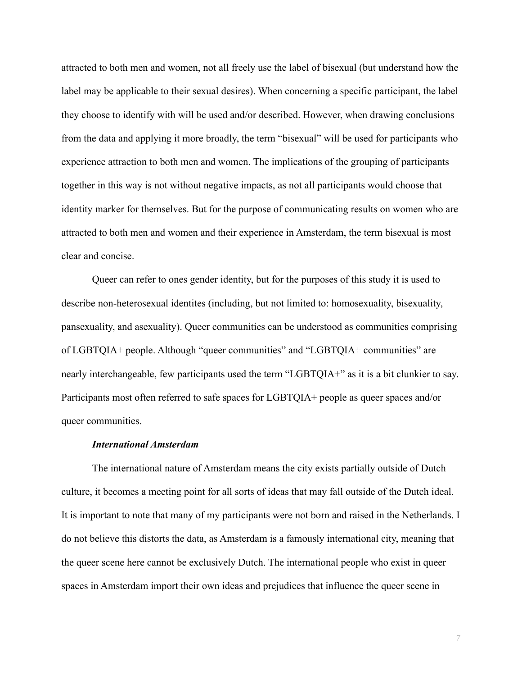attracted to both men and women, not all freely use the label of bisexual (but understand how the label may be applicable to their sexual desires). When concerning a specific participant, the label they choose to identify with will be used and/or described. However, when drawing conclusions from the data and applying it more broadly, the term "bisexual" will be used for participants who experience attraction to both men and women. The implications of the grouping of participants together in this way is not without negative impacts, as not all participants would choose that identity marker for themselves. But for the purpose of communicating results on women who are attracted to both men and women and their experience in Amsterdam, the term bisexual is most clear and concise.

Queer can refer to ones gender identity, but for the purposes of this study it is used to describe non-heterosexual identites (including, but not limited to: homosexuality, bisexuality, pansexuality, and asexuality). Queer communities can be understood as communities comprising of LGBTQIA+ people. Although "queer communities" and "LGBTQIA+ communities" are nearly interchangeable, few participants used the term "LGBTQIA+" as it is a bit clunkier to say. Participants most often referred to safe spaces for LGBTQIA+ people as queer spaces and/or queer communities.

#### *International Amsterdam*

The international nature of Amsterdam means the city exists partially outside of Dutch culture, it becomes a meeting point for all sorts of ideas that may fall outside of the Dutch ideal. It is important to note that many of my participants were not born and raised in the Netherlands. I do not believe this distorts the data, as Amsterdam is a famously international city, meaning that the queer scene here cannot be exclusively Dutch. The international people who exist in queer spaces in Amsterdam import their own ideas and prejudices that influence the queer scene in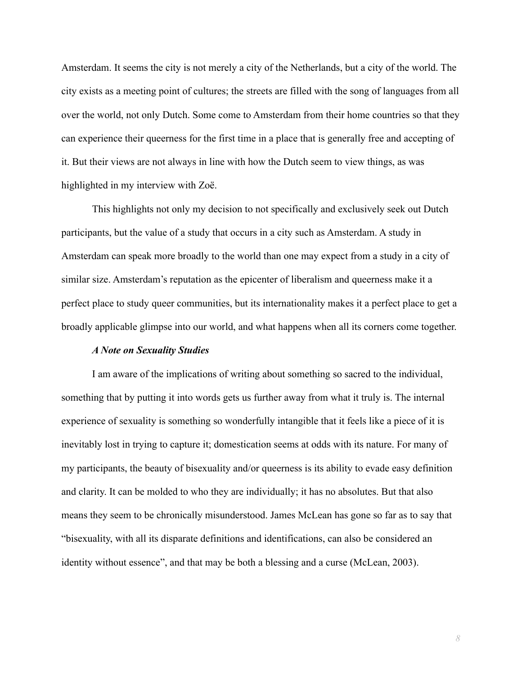Amsterdam. It seems the city is not merely a city of the Netherlands, but a city of the world. The city exists as a meeting point of cultures; the streets are filled with the song of languages from all over the world, not only Dutch. Some come to Amsterdam from their home countries so that they can experience their queerness for the first time in a place that is generally free and accepting of it. But their views are not always in line with how the Dutch seem to view things, as was highlighted in my interview with Zoë.

This highlights not only my decision to not specifically and exclusively seek out Dutch participants, but the value of a study that occurs in a city such as Amsterdam. A study in Amsterdam can speak more broadly to the world than one may expect from a study in a city of similar size. Amsterdam's reputation as the epicenter of liberalism and queerness make it a perfect place to study queer communities, but its internationality makes it a perfect place to get a broadly applicable glimpse into our world, and what happens when all its corners come together.

#### *A Note on Sexuality Studies*

I am aware of the implications of writing about something so sacred to the individual, something that by putting it into words gets us further away from what it truly is. The internal experience of sexuality is something so wonderfully intangible that it feels like a piece of it is inevitably lost in trying to capture it; domestication seems at odds with its nature. For many of my participants, the beauty of bisexuality and/or queerness is its ability to evade easy definition and clarity. It can be molded to who they are individually; it has no absolutes. But that also means they seem to be chronically misunderstood. James McLean has gone so far as to say that "bisexuality, with all its disparate definitions and identifications, can also be considered an identity without essence", and that may be both a blessing and a curse [\(McLean, 2003\).](https://www.zotero.org/google-docs/?SX2fwh)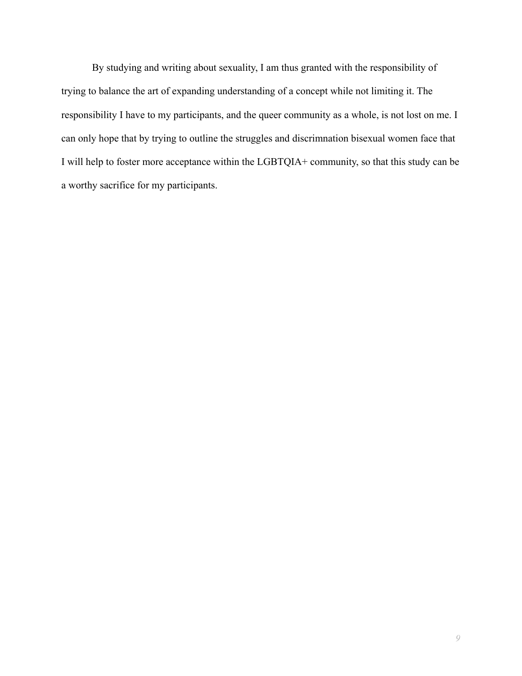By studying and writing about sexuality, I am thus granted with the responsibility of trying to balance the art of expanding understanding of a concept while not limiting it. The responsibility I have to my participants, and the queer community as a whole, is not lost on me. I can only hope that by trying to outline the struggles and discrimnation bisexual women face that I will help to foster more acceptance within the LGBTQIA+ community, so that this study can be a worthy sacrifice for my participants.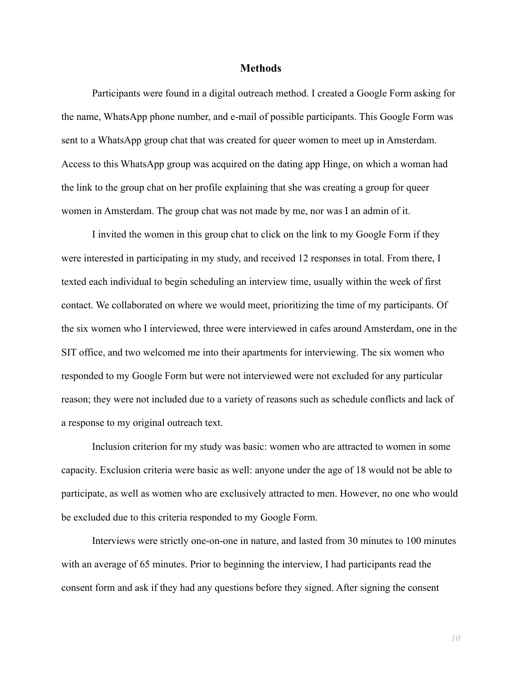#### **Methods**

Participants were found in a digital outreach method. I created a Google Form asking for the name, WhatsApp phone number, and e-mail of possible participants. This Google Form was sent to a WhatsApp group chat that was created for queer women to meet up in Amsterdam. Access to this WhatsApp group was acquired on the dating app Hinge, on which a woman had the link to the group chat on her profile explaining that she was creating a group for queer women in Amsterdam. The group chat was not made by me, nor was I an admin of it.

I invited the women in this group chat to click on the link to my Google Form if they were interested in participating in my study, and received 12 responses in total. From there, I texted each individual to begin scheduling an interview time, usually within the week of first contact. We collaborated on where we would meet, prioritizing the time of my participants. Of the six women who I interviewed, three were interviewed in cafes around Amsterdam, one in the SIT office, and two welcomed me into their apartments for interviewing. The six women who responded to my Google Form but were not interviewed were not excluded for any particular reason; they were not included due to a variety of reasons such as schedule conflicts and lack of a response to my original outreach text.

Inclusion criterion for my study was basic: women who are attracted to women in some capacity. Exclusion criteria were basic as well: anyone under the age of 18 would not be able to participate, as well as women who are exclusively attracted to men. However, no one who would be excluded due to this criteria responded to my Google Form.

Interviews were strictly one-on-one in nature, and lasted from 30 minutes to 100 minutes with an average of 65 minutes. Prior to beginning the interview, I had participants read the consent form and ask if they had any questions before they signed. After signing the consent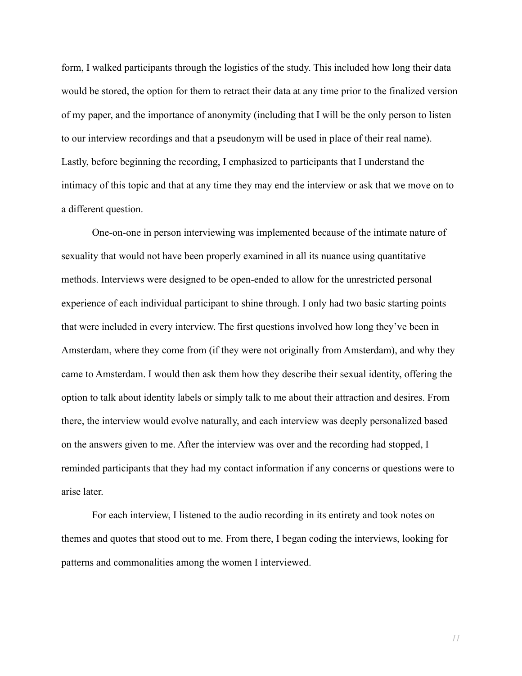form, I walked participants through the logistics of the study. This included how long their data would be stored, the option for them to retract their data at any time prior to the finalized version of my paper, and the importance of anonymity (including that I will be the only person to listen to our interview recordings and that a pseudonym will be used in place of their real name). Lastly, before beginning the recording, I emphasized to participants that I understand the intimacy of this topic and that at any time they may end the interview or ask that we move on to a different question.

One-on-one in person interviewing was implemented because of the intimate nature of sexuality that would not have been properly examined in all its nuance using quantitative methods. Interviews were designed to be open-ended to allow for the unrestricted personal experience of each individual participant to shine through. I only had two basic starting points that were included in every interview. The first questions involved how long they've been in Amsterdam, where they come from (if they were not originally from Amsterdam), and why they came to Amsterdam. I would then ask them how they describe their sexual identity, offering the option to talk about identity labels or simply talk to me about their attraction and desires. From there, the interview would evolve naturally, and each interview was deeply personalized based on the answers given to me. After the interview was over and the recording had stopped, I reminded participants that they had my contact information if any concerns or questions were to arise later.

For each interview, I listened to the audio recording in its entirety and took notes on themes and quotes that stood out to me. From there, I began coding the interviews, looking for patterns and commonalities among the women I interviewed.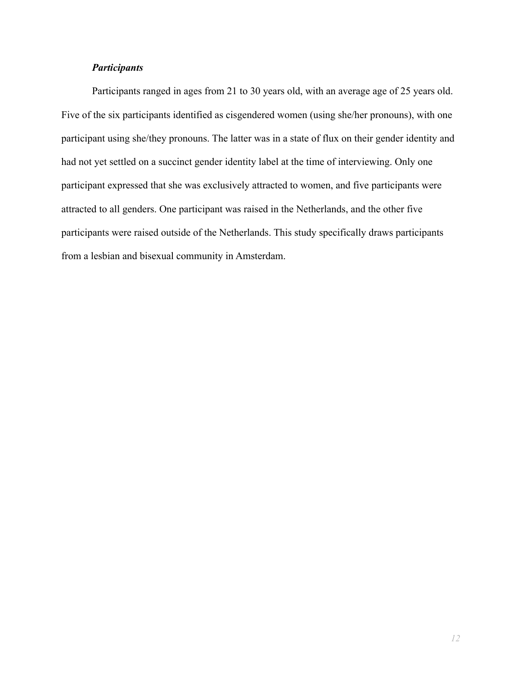### *Participants*

Participants ranged in ages from 21 to 30 years old, with an average age of 25 years old. Five of the six participants identified as cisgendered women (using she/her pronouns), with one participant using she/they pronouns. The latter was in a state of flux on their gender identity and had not yet settled on a succinct gender identity label at the time of interviewing. Only one participant expressed that she was exclusively attracted to women, and five participants were attracted to all genders. One participant was raised in the Netherlands, and the other five participants were raised outside of the Netherlands. This study specifically draws participants from a lesbian and bisexual community in Amsterdam.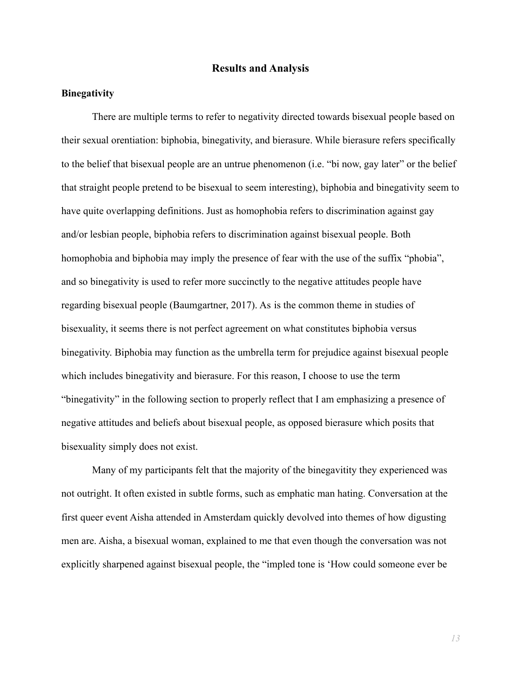#### **Results and Analysis**

#### **Binegativity**

There are multiple terms to refer to negativity directed towards bisexual people based on their sexual orentiation: biphobia, binegativity, and bierasure. While bierasure refers specifically to the belief that bisexual people are an untrue phenomenon (i.e. "bi now, gay later" or the belief that straight people pretend to be bisexual to seem interesting), biphobia and binegativity seem to have quite overlapping definitions. Just as homophobia refers to discrimination against gay and/or lesbian people, biphobia refers to discrimination against bisexual people. Both homophobia and biphobia may imply the presence of fear with the use of the suffix "phobia", and so binegativity is used to refer more succinctly to the negative attitudes people have regarding bisexual people [\(Baumgartner, 2017\)](https://www.zotero.org/google-docs/?jttHbo). As is the common theme in studies of bisexuality, it seems there is not perfect agreement on what constitutes biphobia versus binegativity. Biphobia may function as the umbrella term for prejudice against bisexual people which includes binegativity and bierasure. For this reason, I choose to use the term "binegativity" in the following section to properly reflect that I am emphasizing a presence of negative attitudes and beliefs about bisexual people, as opposed bierasure which posits that bisexuality simply does not exist.

Many of my participants felt that the majority of the binegavitity they experienced was not outright. It often existed in subtle forms, such as emphatic man hating. Conversation at the first queer event Aisha attended in Amsterdam quickly devolved into themes of how digusting men are. Aisha, a bisexual woman, explained to me that even though the conversation was not explicitly sharpened against bisexual people, the "impled tone is 'How could someone ever be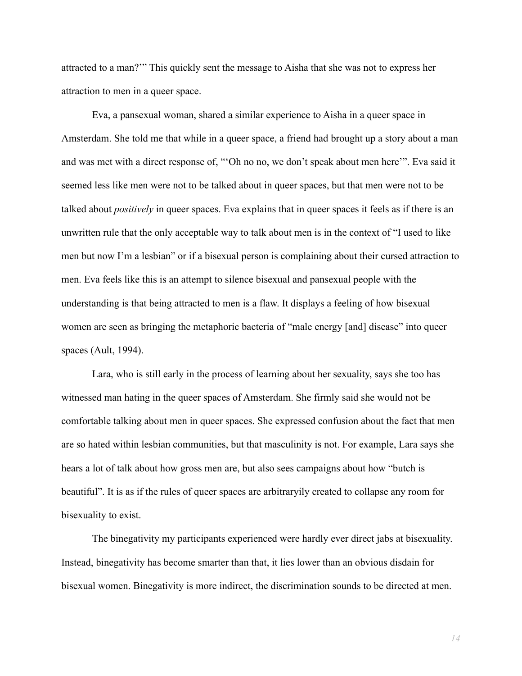attracted to a man?'" This quickly sent the message to Aisha that she was not to express her attraction to men in a queer space.

Eva, a pansexual woman, shared a similar experience to Aisha in a queer space in Amsterdam. She told me that while in a queer space, a friend had brought up a story about a man and was met with a direct response of, "'Oh no no, we don't speak about men here'". Eva said it seemed less like men were not to be talked about in queer spaces, but that men were not to be talked about *positively* in queer spaces. Eva explains that in queer spaces it feels as if there is an unwritten rule that the only acceptable way to talk about men is in the context of "I used to like men but now I'm a lesbian" or if a bisexual person is complaining about their cursed attraction to men. Eva feels like this is an attempt to silence bisexual and pansexual people with the understanding is that being attracted to men is a flaw. It displays a feeling of how bisexual women are seen as bringing the metaphoric bacteria of "male energy [and] disease" into queer spaces (Ault, 1994).

Lara, who is still early in the process of learning about her sexuality, says she too has witnessed man hating in the queer spaces of Amsterdam. She firmly said she would not be comfortable talking about men in queer spaces. She expressed confusion about the fact that men are so hated within lesbian communities, but that masculinity is not. For example, Lara says she hears a lot of talk about how gross men are, but also sees campaigns about how "butch is beautiful". It is as if the rules of queer spaces are arbitraryily created to collapse any room for bisexuality to exist.

The binegativity my participants experienced were hardly ever direct jabs at bisexuality. Instead, binegativity has become smarter than that, it lies lower than an obvious disdain for bisexual women. Binegativity is more indirect, the discrimination sounds to be directed at men.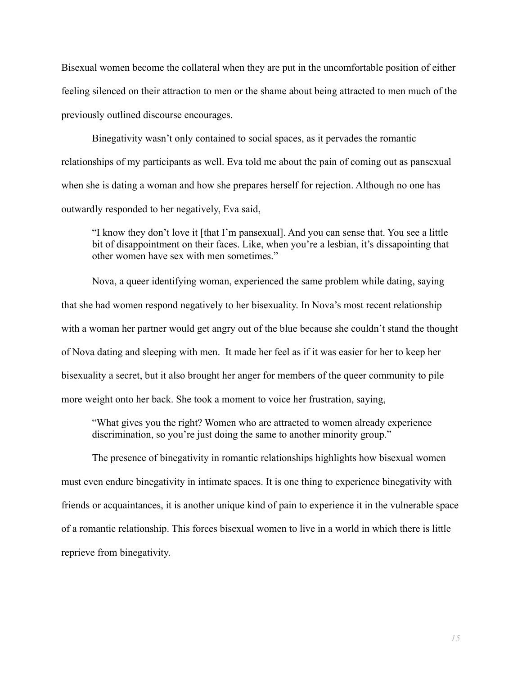Bisexual women become the collateral when they are put in the uncomfortable position of either feeling silenced on their attraction to men or the shame about being attracted to men much of the previously outlined discourse encourages.

Binegativity wasn't only contained to social spaces, as it pervades the romantic relationships of my participants as well. Eva told me about the pain of coming out as pansexual when she is dating a woman and how she prepares herself for rejection. Although no one has outwardly responded to her negatively, Eva said,

"I know they don't love it [that I'm pansexual]. And you can sense that. You see a little bit of disappointment on their faces. Like, when you're a lesbian, it's dissapointing that other women have sex with men sometimes."

Nova, a queer identifying woman, experienced the same problem while dating, saying that she had women respond negatively to her bisexuality. In Nova's most recent relationship with a woman her partner would get angry out of the blue because she couldn't stand the thought of Nova dating and sleeping with men. It made her feel as if it was easier for her to keep her bisexuality a secret, but it also brought her anger for members of the queer community to pile more weight onto her back. She took a moment to voice her frustration, saying,

"What gives you the right? Women who are attracted to women already experience discrimination, so you're just doing the same to another minority group."

The presence of binegativity in romantic relationships highlights how bisexual women must even endure binegativity in intimate spaces. It is one thing to experience binegativity with friends or acquaintances, it is another unique kind of pain to experience it in the vulnerable space of a romantic relationship. This forces bisexual women to live in a world in which there is little reprieve from binegativity.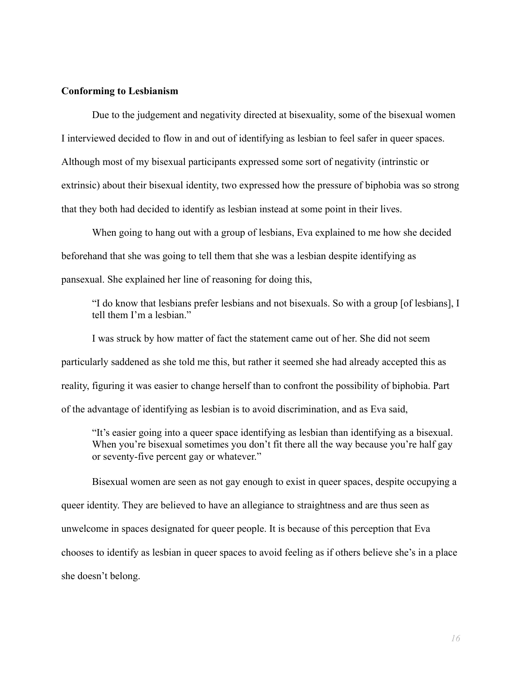#### **Conforming to Lesbianism**

Due to the judgement and negativity directed at bisexuality, some of the bisexual women I interviewed decided to flow in and out of identifying as lesbian to feel safer in queer spaces. Although most of my bisexual participants expressed some sort of negativity (intrinstic or extrinsic) about their bisexual identity, two expressed how the pressure of biphobia was so strong that they both had decided to identify as lesbian instead at some point in their lives.

When going to hang out with a group of lesbians, Eva explained to me how she decided beforehand that she was going to tell them that she was a lesbian despite identifying as pansexual. She explained her line of reasoning for doing this,

"I do know that lesbians prefer lesbians and not bisexuals. So with a group [of lesbians], I tell them I'm a lesbian."

I was struck by how matter of fact the statement came out of her. She did not seem particularly saddened as she told me this, but rather it seemed she had already accepted this as reality, figuring it was easier to change herself than to confront the possibility of biphobia. Part of the advantage of identifying as lesbian is to avoid discrimination, and as Eva said,

"It's easier going into a queer space identifying as lesbian than identifying as a bisexual. When you're bisexual sometimes you don't fit there all the way because you're half gay or seventy-five percent gay or whatever."

Bisexual women are seen as not gay enough to exist in queer spaces, despite occupying a queer identity. They are believed to have an allegiance to straightness and are thus seen as unwelcome in spaces designated for queer people. It is because of this perception that Eva chooses to identify as lesbian in queer spaces to avoid feeling as if others believe she's in a place she doesn't belong.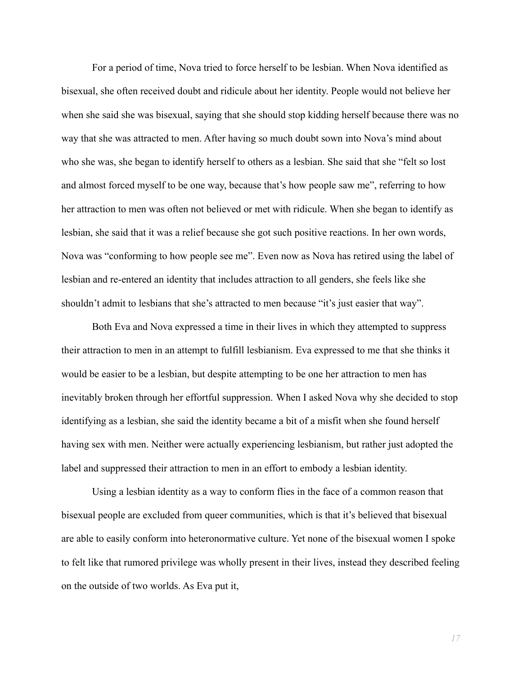For a period of time, Nova tried to force herself to be lesbian. When Nova identified as bisexual, she often received doubt and ridicule about her identity. People would not believe her when she said she was bisexual, saying that she should stop kidding herself because there was no way that she was attracted to men. After having so much doubt sown into Nova's mind about who she was, she began to identify herself to others as a lesbian. She said that she "felt so lost and almost forced myself to be one way, because that's how people saw me", referring to how her attraction to men was often not believed or met with ridicule. When she began to identify as lesbian, she said that it was a relief because she got such positive reactions. In her own words, Nova was "conforming to how people see me". Even now as Nova has retired using the label of lesbian and re-entered an identity that includes attraction to all genders, she feels like she shouldn't admit to lesbians that she's attracted to men because "it's just easier that way".

Both Eva and Nova expressed a time in their lives in which they attempted to suppress their attraction to men in an attempt to fulfill lesbianism. Eva expressed to me that she thinks it would be easier to be a lesbian, but despite attempting to be one her attraction to men has inevitably broken through her effortful suppression. When I asked Nova why she decided to stop identifying as a lesbian, she said the identity became a bit of a misfit when she found herself having sex with men. Neither were actually experiencing lesbianism, but rather just adopted the label and suppressed their attraction to men in an effort to embody a lesbian identity.

Using a lesbian identity as a way to conform flies in the face of a common reason that bisexual people are excluded from queer communities, which is that it's believed that bisexual are able to easily conform into heteronormative culture. Yet none of the bisexual women I spoke to felt like that rumored privilege was wholly present in their lives, instead they described feeling on the outside of two worlds. As Eva put it,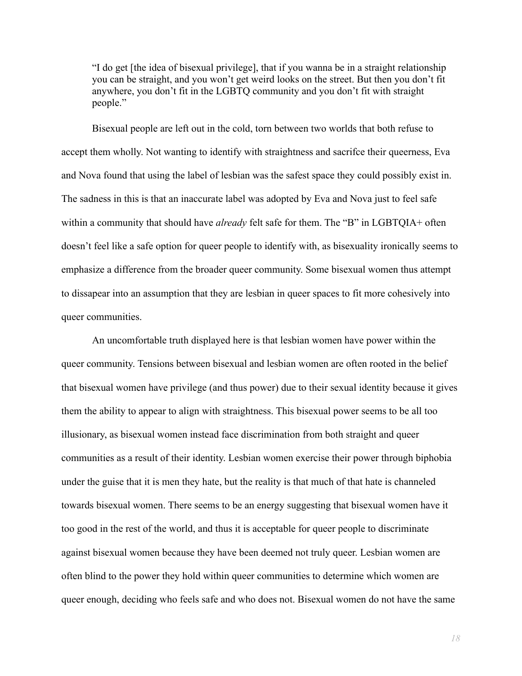"I do get [the idea of bisexual privilege], that if you wanna be in a straight relationship you can be straight, and you won't get weird looks on the street. But then you don't fit anywhere, you don't fit in the LGBTQ community and you don't fit with straight people."

Bisexual people are left out in the cold, torn between two worlds that both refuse to accept them wholly. Not wanting to identify with straightness and sacrifce their queerness, Eva and Nova found that using the label of lesbian was the safest space they could possibly exist in. The sadness in this is that an inaccurate label was adopted by Eva and Nova just to feel safe within a community that should have *already* felt safe for them. The "B" in LGBTQIA+ often doesn't feel like a safe option for queer people to identify with, as bisexuality ironically seems to emphasize a difference from the broader queer community. Some bisexual women thus attempt to dissapear into an assumption that they are lesbian in queer spaces to fit more cohesively into queer communities.

An uncomfortable truth displayed here is that lesbian women have power within the queer community. Tensions between bisexual and lesbian women are often rooted in the belief that bisexual women have privilege (and thus power) due to their sexual identity because it gives them the ability to appear to align with straightness. This bisexual power seems to be all too illusionary, as bisexual women instead face discrimination from both straight and queer communities as a result of their identity. Lesbian women exercise their power through biphobia under the guise that it is men they hate, but the reality is that much of that hate is channeled towards bisexual women. There seems to be an energy suggesting that bisexual women have it too good in the rest of the world, and thus it is acceptable for queer people to discriminate against bisexual women because they have been deemed not truly queer. Lesbian women are often blind to the power they hold within queer communities to determine which women are queer enough, deciding who feels safe and who does not. Bisexual women do not have the same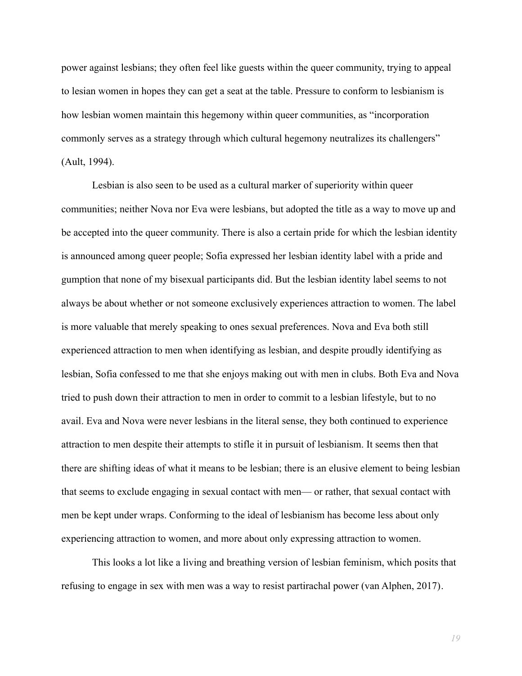power against lesbians; they often feel like guests within the queer community, trying to appeal to lesian women in hopes they can get a seat at the table. Pressure to conform to lesbianism is how lesbian women maintain this hegemony within queer communities, as "incorporation commonly serves as a strategy through which cultural hegemony neutralizes its challengers" (Ault, 1994).

Lesbian is also seen to be used as a cultural marker of superiority within queer communities; neither Nova nor Eva were lesbians, but adopted the title as a way to move up and be accepted into the queer community. There is also a certain pride for which the lesbian identity is announced among queer people; Sofia expressed her lesbian identity label with a pride and gumption that none of my bisexual participants did. But the lesbian identity label seems to not always be about whether or not someone exclusively experiences attraction to women. The label is more valuable that merely speaking to ones sexual preferences. Nova and Eva both still experienced attraction to men when identifying as lesbian, and despite proudly identifying as lesbian, Sofia confessed to me that she enjoys making out with men in clubs. Both Eva and Nova tried to push down their attraction to men in order to commit to a lesbian lifestyle, but to no avail. Eva and Nova were never lesbians in the literal sense, they both continued to experience attraction to men despite their attempts to stifle it in pursuit of lesbianism. It seems then that there are shifting ideas of what it means to be lesbian; there is an elusive element to being lesbian that seems to exclude engaging in sexual contact with men— or rather, that sexual contact with men be kept under wraps. Conforming to the ideal of lesbianism has become less about only experiencing attraction to women, and more about only expressing attraction to women.

This looks a lot like a living and breathing version of lesbian feminism, which posits that refusing to engage in sex with men was a way to resist partirachal power [\(van Alphen, 2017\).](https://www.zotero.org/google-docs/?LMpl1r)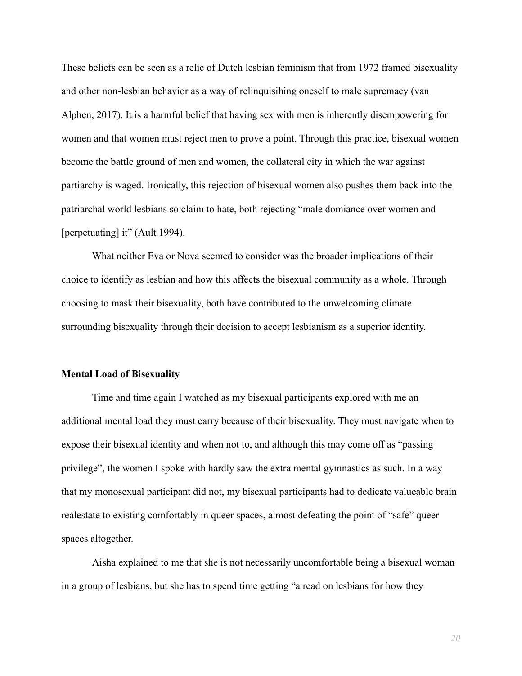These beliefs can be seen as a relic of Dutch lesbian feminism that from 1972 framed bisexuality and other non-lesbian behavior as a way of relinquisihing oneself to male supremacy (van Alphen, 2017). It is a harmful belief that having sex with men is inherently disempowering for women and that women must reject men to prove a point. Through this practice, bisexual women become the battle ground of men and women, the collateral city in which the war against partiarchy is waged. Ironically, this rejection of bisexual women also pushes them back into the patriarchal world lesbians so claim to hate, both rejecting "male domiance over women and [perpetuating] it" (Ault 1994).

What neither Eva or Nova seemed to consider was the broader implications of their choice to identify as lesbian and how this affects the bisexual community as a whole. Through choosing to mask their bisexuality, both have contributed to the unwelcoming climate surrounding bisexuality through their decision to accept lesbianism as a superior identity.

#### **Mental Load of Bisexuality**

Time and time again I watched as my bisexual participants explored with me an additional mental load they must carry because of their bisexuality. They must navigate when to expose their bisexual identity and when not to, and although this may come off as "passing privilege", the women I spoke with hardly saw the extra mental gymnastics as such. In a way that my monosexual participant did not, my bisexual participants had to dedicate valueable brain realestate to existing comfortably in queer spaces, almost defeating the point of "safe" queer spaces altogether.

Aisha explained to me that she is not necessarily uncomfortable being a bisexual woman in a group of lesbians, but she has to spend time getting "a read on lesbians for how they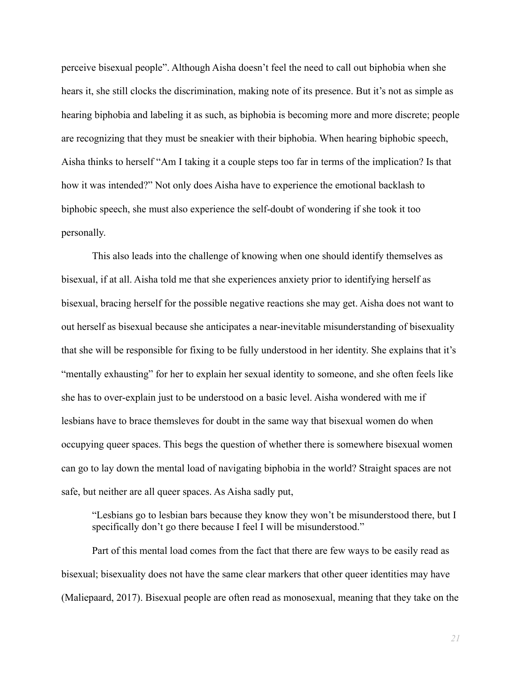perceive bisexual people". Although Aisha doesn't feel the need to call out biphobia when she hears it, she still clocks the discrimination, making note of its presence. But it's not as simple as hearing biphobia and labeling it as such, as biphobia is becoming more and more discrete; people are recognizing that they must be sneakier with their biphobia. When hearing biphobic speech, Aisha thinks to herself "Am I taking it a couple steps too far in terms of the implication? Is that how it was intended?" Not only does Aisha have to experience the emotional backlash to biphobic speech, she must also experience the self-doubt of wondering if she took it too personally.

This also leads into the challenge of knowing when one should identify themselves as bisexual, if at all. Aisha told me that she experiences anxiety prior to identifying herself as bisexual, bracing herself for the possible negative reactions she may get. Aisha does not want to out herself as bisexual because she anticipates a near-inevitable misunderstanding of bisexuality that she will be responsible for fixing to be fully understood in her identity. She explains that it's "mentally exhausting" for her to explain her sexual identity to someone, and she often feels like she has to over-explain just to be understood on a basic level. Aisha wondered with me if lesbians have to brace themsleves for doubt in the same way that bisexual women do when occupying queer spaces. This begs the question of whether there is somewhere bisexual women can go to lay down the mental load of navigating biphobia in the world? Straight spaces are not safe, but neither are all queer spaces. As Aisha sadly put,

"Lesbians go to lesbian bars because they know they won't be misunderstood there, but I specifically don't go there because I feel I will be misunderstood."

Part of this mental load comes from the fact that there are few ways to be easily read as bisexual; bisexuality does not have the same clear markers that other queer identities may have [\(Maliepaard, 2017\).](https://www.zotero.org/google-docs/?PHSlIw) Bisexual people are often read as monosexual, meaning that they take on the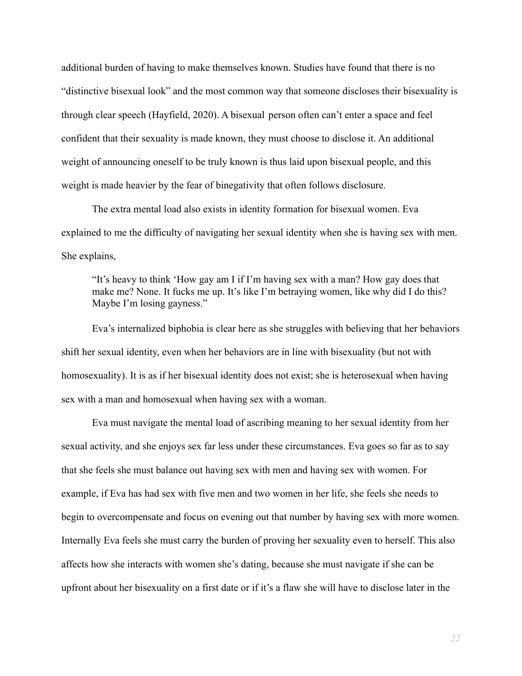additional burden of having to make themselves known. Studies have found that there is no "distinctive bisexual look" and the most common way that someone discloses their bisexuality is through clear speech [\(Hayfield, 2020\)](https://www.zotero.org/google-docs/?RFpi8N). A bisexual person often can't enter a space and feel confident that their sexuality is made known, they must choose to disclose it. An additional weight of announcing oneself to be truly known is thus laid upon bisexual people, and this weight is made heavier by the fear of binegativity that often follows disclosure.

The extra mental load also exists in identity formation for bisexual women. Eva explained to me the difficulty of navigating her sexual identity when she is having sex with men. She explains,

"It's heavy to think 'How gay am I if I'm having sex with a man? How gay does that make me? None. It fucks me up. It's like I'm betraying women, like why did I do this? Maybe I'm losing gayness."

Eva's internalized biphobia is clear here as she struggles with believing that her behaviors shift her sexual identity, even when her behaviors are in line with bisexuality (but not with homosexuality). It is as if her bisexual identity does not exist; she is heterosexual when having sex with a man and homosexual when having sex with a woman.

Eva must navigate the mental load of ascribing meaning to her sexual identity from her sexual activity, and she enjoys sex far less under these circumstances. Eva goes so far as to say that she feels she must balance out having sex with men and having sex with women. For example, if Eva has had sex with five men and two women in her life, she feels she needs to begin to overcompensate and focus on evening out that number by having sex with more women. Internally Eva feels she must carry the burden of proving her sexuality even to herself. This also affects how she interacts with women she's dating, because she must navigate if she can be upfront about her bisexuality on a first date or if it's a flaw she will have to disclose later in the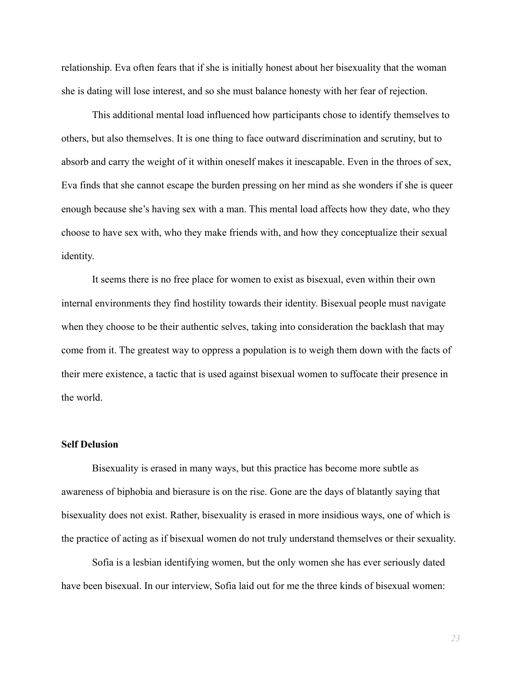relationship. Eva often fears that if she is initially honest about her bisexuality that the woman she is dating will lose interest, and so she must balance honesty with her fear of rejection.

This additional mental load influenced how participants chose to identify themselves to others, but also themselves. It is one thing to face outward discrimination and scrutiny, but to absorb and carry the weight of it within oneself makes it inescapable. Even in the throes of sex, Eva finds that she cannot escape the burden pressing on her mind as she wonders if she is queer enough because she's having sex with a man. This mental load affects how they date, who they choose to have sex with, who they make friends with, and how they conceptualize their sexual identity.

It seems there is no free place for women to exist as bisexual, even within their own internal environments they find hostility towards their identity. Bisexual people must navigate when they choose to be their authentic selves, taking into consideration the backlash that may come from it. The greatest way to oppress a population is to weigh them down with the facts of their mere existence, a tactic that is used against bisexual women to suffocate their presence in the world.

#### **Self Delusion**

Bisexuality is erased in many ways, but this practice has become more subtle as awareness of biphobia and bierasure is on the rise. Gone are the days of blatantly saying that bisexuality does not exist. Rather, bisexuality is erased in more insidious ways, one of which is the practice of acting as if bisexual women do not truly understand themselves or their sexuality.

Sofia is a lesbian identifying women, but the only women she has ever seriously dated have been bisexual. In our interview, Sofia laid out for me the three kinds of bisexual women: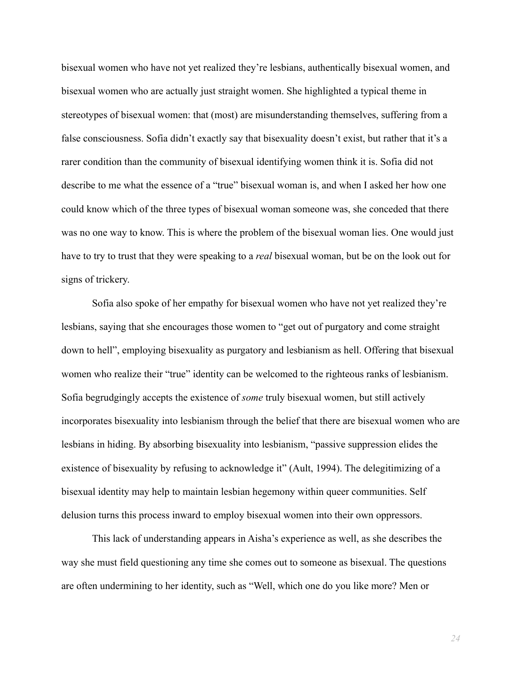bisexual women who have not yet realized they're lesbians, authentically bisexual women, and bisexual women who are actually just straight women. She highlighted a typical theme in stereotypes of bisexual women: that (most) are misunderstanding themselves, suffering from a false consciousness. Sofia didn't exactly say that bisexuality doesn't exist, but rather that it's a rarer condition than the community of bisexual identifying women think it is. Sofia did not describe to me what the essence of a "true" bisexual woman is, and when I asked her how one could know which of the three types of bisexual woman someone was, she conceded that there was no one way to know. This is where the problem of the bisexual woman lies. One would just have to try to trust that they were speaking to a *real* bisexual woman, but be on the look out for signs of trickery.

Sofia also spoke of her empathy for bisexual women who have not yet realized they're lesbians, saying that she encourages those women to "get out of purgatory and come straight down to hell", employing bisexuality as purgatory and lesbianism as hell. Offering that bisexual women who realize their "true" identity can be welcomed to the righteous ranks of lesbianism. Sofia begrudgingly accepts the existence of *some* truly bisexual women, but still actively incorporates bisexuality into lesbianism through the belief that there are bisexual women who are lesbians in hiding. By absorbing bisexuality into lesbianism, "passive suppression elides the existence of bisexuality by refusing to acknowledge it" [\(Ault, 1994\).](https://www.zotero.org/google-docs/?rnZuVP) The delegitimizing of a bisexual identity may help to maintain lesbian hegemony within queer communities. Self delusion turns this process inward to employ bisexual women into their own oppressors.

This lack of understanding appears in Aisha's experience as well, as she describes the way she must field questioning any time she comes out to someone as bisexual. The questions are often undermining to her identity, such as "Well, which one do you like more? Men or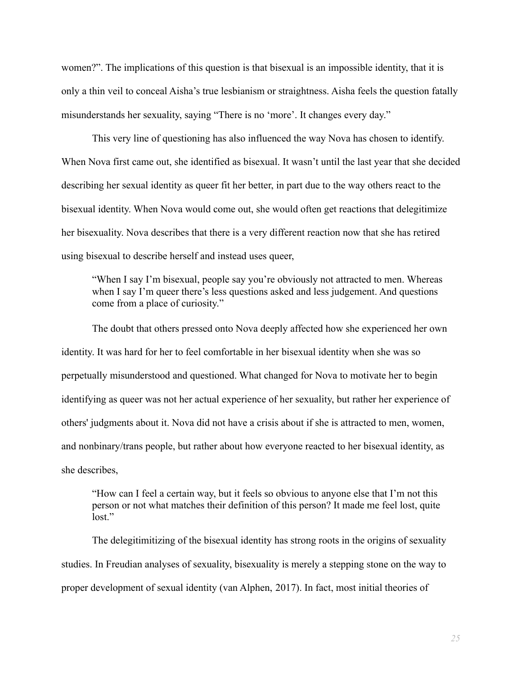women?". The implications of this question is that bisexual is an impossible identity, that it is only a thin veil to conceal Aisha's true lesbianism or straightness. Aisha feels the question fatally misunderstands her sexuality, saying "There is no 'more'. It changes every day."

This very line of questioning has also influenced the way Nova has chosen to identify. When Nova first came out, she identified as bisexual. It wasn't until the last year that she decided describing her sexual identity as queer fit her better, in part due to the way others react to the bisexual identity. When Nova would come out, she would often get reactions that delegitimize her bisexuality. Nova describes that there is a very different reaction now that she has retired using bisexual to describe herself and instead uses queer,

"When I say I'm bisexual, people say you're obviously not attracted to men. Whereas when I say I'm queer there's less questions asked and less judgement. And questions come from a place of curiosity."

The doubt that others pressed onto Nova deeply affected how she experienced her own identity. It was hard for her to feel comfortable in her bisexual identity when she was so perpetually misunderstood and questioned. What changed for Nova to motivate her to begin identifying as queer was not her actual experience of her sexuality, but rather her experience of others' judgments about it. Nova did not have a crisis about if she is attracted to men, women, and nonbinary/trans people, but rather about how everyone reacted to her bisexual identity, as she describes,

"How can I feel a certain way, but it feels so obvious to anyone else that I'm not this person or not what matches their definition of this person? It made me feel lost, quite lost."

The delegitimitizing of the bisexual identity has strong roots in the origins of sexuality studies. In Freudian analyses of sexuality, bisexuality is merely a stepping stone on the way to proper development of sexual identity [\(van Alphen,](https://www.zotero.org/google-docs/?lg1T8h) 2017). In fact, most initial theories of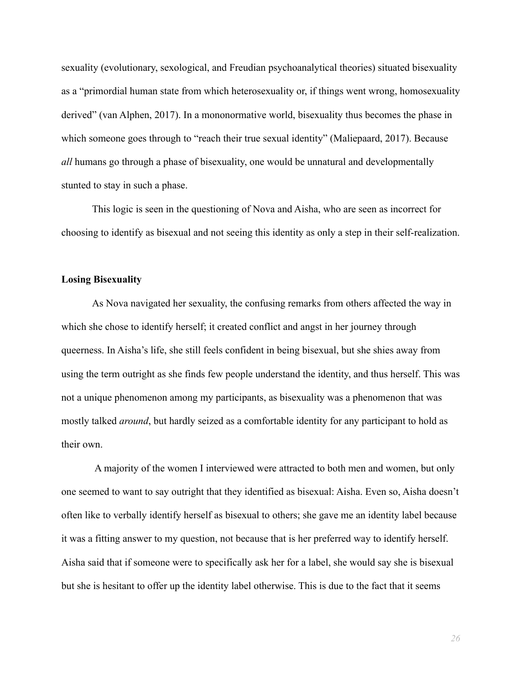sexuality (evolutionary, sexological, and Freudian psychoanalytical theories) situated bisexuality as a "primordial human state from which heterosexuality or, if things went wrong, homosexuality derived" (van Alphen, 2017). In a mononormative world, bisexuality thus becomes the phase in which someone goes through to "reach their true sexual identity" [\(Maliepaard, 2017\).](https://www.zotero.org/google-docs/?KZ23t4) Because *all* humans go through a phase of bisexuality, one would be unnatural and developmentally stunted to stay in such a phase.

This logic is seen in the questioning of Nova and Aisha, who are seen as incorrect for choosing to identify as bisexual and not seeing this identity as only a step in their self-realization.

#### **Losing Bisexuality**

As Nova navigated her sexuality, the confusing remarks from others affected the way in which she chose to identify herself; it created conflict and angst in her journey through queerness. In Aisha's life, she still feels confident in being bisexual, but she shies away from using the term outright as she finds few people understand the identity, and thus herself. This was not a unique phenomenon among my participants, as bisexuality was a phenomenon that was mostly talked *around*, but hardly seized as a comfortable identity for any participant to hold as their own.

A majority of the women I interviewed were attracted to both men and women, but only one seemed to want to say outright that they identified as bisexual: Aisha. Even so, Aisha doesn't often like to verbally identify herself as bisexual to others; she gave me an identity label because it was a fitting answer to my question, not because that is her preferred way to identify herself. Aisha said that if someone were to specifically ask her for a label, she would say she is bisexual but she is hesitant to offer up the identity label otherwise. This is due to the fact that it seems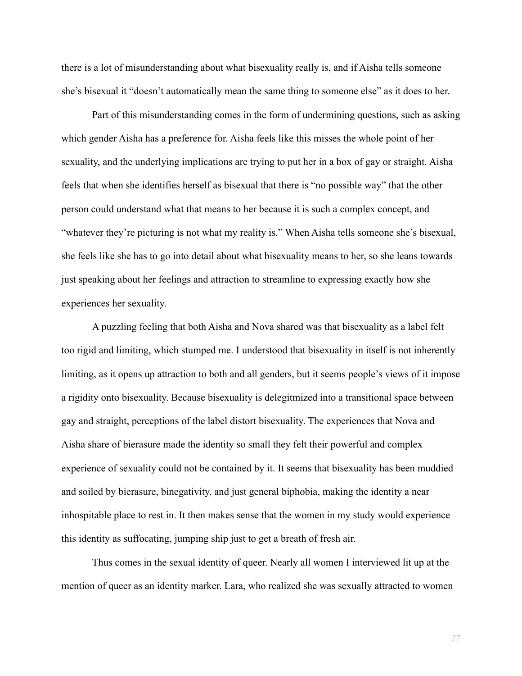there is a lot of misunderstanding about what bisexuality really is, and if Aisha tells someone she's bisexual it "doesn't automatically mean the same thing to someone else" as it does to her.

Part of this misunderstanding comes in the form of undermining questions, such as asking which gender Aisha has a preference for. Aisha feels like this misses the whole point of her sexuality, and the underlying implications are trying to put her in a box of gay or straight. Aisha feels that when she identifies herself as bisexual that there is "no possible way" that the other person could understand what that means to her because it is such a complex concept, and "whatever they're picturing is not what my reality is." When Aisha tells someone she's bisexual, she feels like she has to go into detail about what bisexuality means to her, so she leans towards just speaking about her feelings and attraction to streamline to expressing exactly how she experiences her sexuality.

A puzzling feeling that both Aisha and Nova shared was that bisexuality as a label felt too rigid and limiting, which stumped me. I understood that bisexuality in itself is not inherently limiting, as it opens up attraction to both and all genders, but it seems people's views of it impose a rigidity onto bisexuality. Because bisexuality is delegitmized into a transitional space between gay and straight, perceptions of the label distort bisexuality. The experiences that Nova and Aisha share of bierasure made the identity so small they felt their powerful and complex experience of sexuality could not be contained by it. It seems that bisexuality has been muddied and soiled by bierasure, binegativity, and just general biphobia, making the identity a near inhospitable place to rest in. It then makes sense that the women in my study would experience this identity as suffocating, jumping ship just to get a breath of fresh air.

Thus comes in the sexual identity of queer. Nearly all women I interviewed lit up at the mention of queer as an identity marker. Lara, who realized she was sexually attracted to women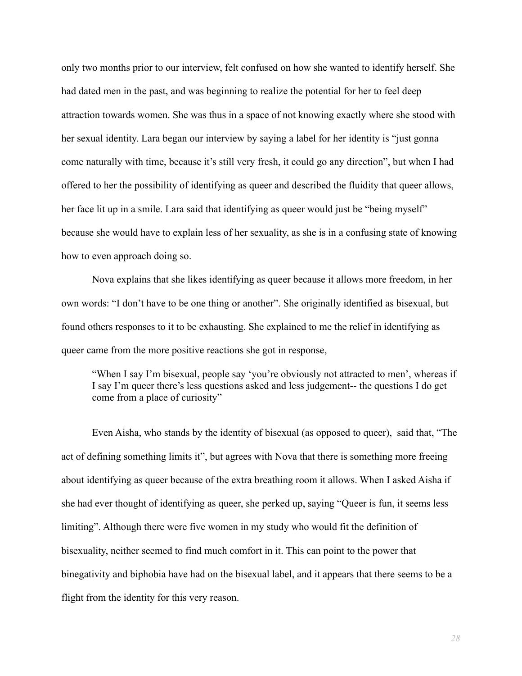only two months prior to our interview, felt confused on how she wanted to identify herself. She had dated men in the past, and was beginning to realize the potential for her to feel deep attraction towards women. She was thus in a space of not knowing exactly where she stood with her sexual identity. Lara began our interview by saying a label for her identity is "just gonna come naturally with time, because it's still very fresh, it could go any direction", but when I had offered to her the possibility of identifying as queer and described the fluidity that queer allows, her face lit up in a smile. Lara said that identifying as queer would just be "being myself" because she would have to explain less of her sexuality, as she is in a confusing state of knowing how to even approach doing so.

Nova explains that she likes identifying as queer because it allows more freedom, in her own words: "I don't have to be one thing or another". She originally identified as bisexual, but found others responses to it to be exhausting. She explained to me the relief in identifying as queer came from the more positive reactions she got in response,

"When I say I'm bisexual, people say 'you're obviously not attracted to men', whereas if I say I'm queer there's less questions asked and less judgement-- the questions I do get come from a place of curiosity"

Even Aisha, who stands by the identity of bisexual (as opposed to queer), said that, "The act of defining something limits it", but agrees with Nova that there is something more freeing about identifying as queer because of the extra breathing room it allows. When I asked Aisha if she had ever thought of identifying as queer, she perked up, saying "Queer is fun, it seems less limiting". Although there were five women in my study who would fit the definition of bisexuality, neither seemed to find much comfort in it. This can point to the power that binegativity and biphobia have had on the bisexual label, and it appears that there seems to be a flight from the identity for this very reason.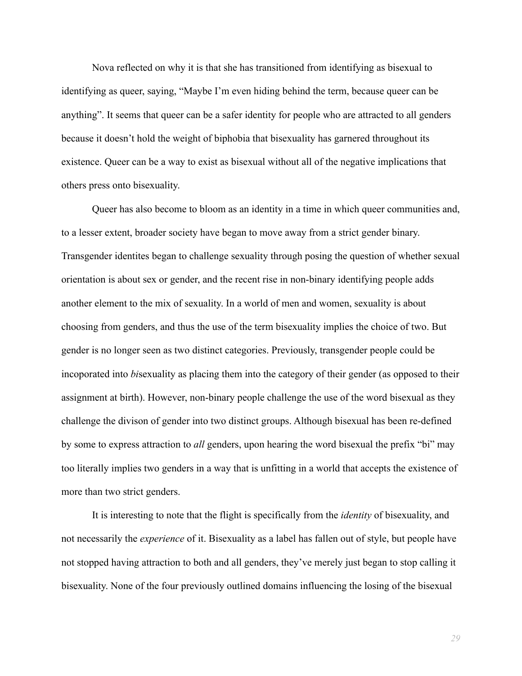Nova reflected on why it is that she has transitioned from identifying as bisexual to identifying as queer, saying, "Maybe I'm even hiding behind the term, because queer can be anything". It seems that queer can be a safer identity for people who are attracted to all genders because it doesn't hold the weight of biphobia that bisexuality has garnered throughout its existence. Queer can be a way to exist as bisexual without all of the negative implications that others press onto bisexuality.

Queer has also become to bloom as an identity in a time in which queer communities and, to a lesser extent, broader society have began to move away from a strict gender binary. Transgender identites began to challenge sexuality through posing the question of whether sexual orientation is about sex or gender, and the recent rise in non-binary identifying people adds another element to the mix of sexuality. In a world of men and women, sexuality is about choosing from genders, and thus the use of the term bisexuality implies the choice of two. But gender is no longer seen as two distinct categories. Previously, transgender people could be incoporated into *bi*sexuality as placing them into the category of their gender (as opposed to their assignment at birth). However, non-binary people challenge the use of the word bisexual as they challenge the divison of gender into two distinct groups. Although bisexual has been re-defined by some to express attraction to *all* genders, upon hearing the word bisexual the prefix "bi" may too literally implies two genders in a way that is unfitting in a world that accepts the existence of more than two strict genders.

It is interesting to note that the flight is specifically from the *identity* of bisexuality, and not necessarily the *experience* of it. Bisexuality as a label has fallen out of style, but people have not stopped having attraction to both and all genders, they've merely just began to stop calling it bisexuality. None of the four previously outlined domains influencing the losing of the bisexual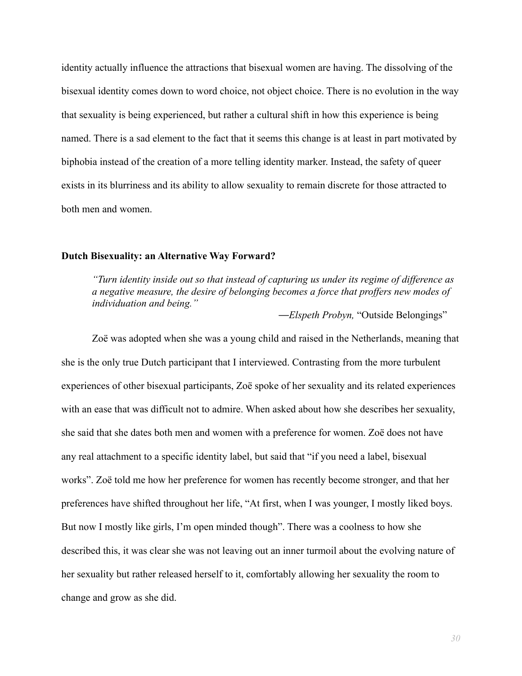identity actually influence the attractions that bisexual women are having. The dissolving of the bisexual identity comes down to word choice, not object choice. There is no evolution in the way that sexuality is being experienced, but rather a cultural shift in how this experience is being named. There is a sad element to the fact that it seems this change is at least in part motivated by biphobia instead of the creation of a more telling identity marker. Instead, the safety of queer exists in its blurriness and its ability to allow sexuality to remain discrete for those attracted to both men and women.

#### **Dutch Bisexuality: an Alternative Way Forward?**

*"Turn identity inside out so that instead of capturing us under its regime of difference as a negative measure, the desire of belonging becomes a force that proffers new modes of individuation and being."*

*—Elspeth Probyn,* "Outside Belongings"

Zoë was adopted when she was a young child and raised in the Netherlands, meaning that she is the only true Dutch participant that I interviewed. Contrasting from the more turbulent experiences of other bisexual participants, Zoë spoke of her sexuality and its related experiences with an ease that was difficult not to admire. When asked about how she describes her sexuality, she said that she dates both men and women with a preference for women. Zoë does not have any real attachment to a specific identity label, but said that "if you need a label, bisexual works". Zoë told me how her preference for women has recently become stronger, and that her preferences have shifted throughout her life, "At first, when I was younger, I mostly liked boys. But now I mostly like girls, I'm open minded though". There was a coolness to how she described this, it was clear she was not leaving out an inner turmoil about the evolving nature of her sexuality but rather released herself to it, comfortably allowing her sexuality the room to change and grow as she did.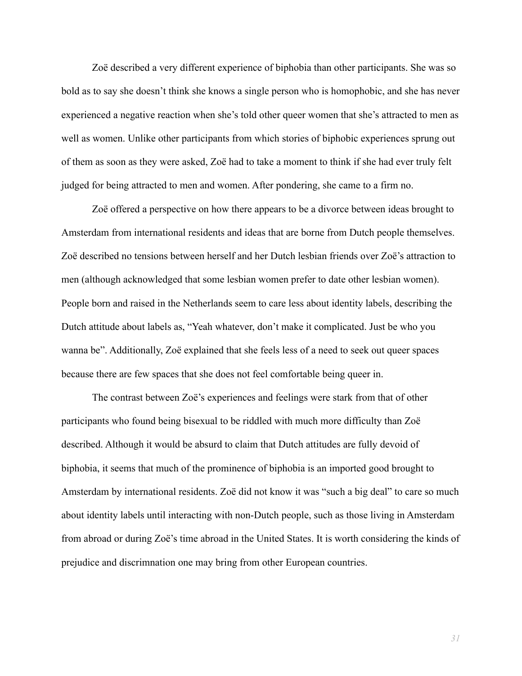Zoë described a very different experience of biphobia than other participants. She was so bold as to say she doesn't think she knows a single person who is homophobic, and she has never experienced a negative reaction when she's told other queer women that she's attracted to men as well as women. Unlike other participants from which stories of biphobic experiences sprung out of them as soon as they were asked, Zoë had to take a moment to think if she had ever truly felt judged for being attracted to men and women. After pondering, she came to a firm no.

Zoë offered a perspective on how there appears to be a divorce between ideas brought to Amsterdam from international residents and ideas that are borne from Dutch people themselves. Zoë described no tensions between herself and her Dutch lesbian friends over Zoë's attraction to men (although acknowledged that some lesbian women prefer to date other lesbian women). People born and raised in the Netherlands seem to care less about identity labels, describing the Dutch attitude about labels as, "Yeah whatever, don't make it complicated. Just be who you wanna be". Additionally, Zoë explained that she feels less of a need to seek out queer spaces because there are few spaces that she does not feel comfortable being queer in.

The contrast between Zoë's experiences and feelings were stark from that of other participants who found being bisexual to be riddled with much more difficulty than Zoë described. Although it would be absurd to claim that Dutch attitudes are fully devoid of biphobia, it seems that much of the prominence of biphobia is an imported good brought to Amsterdam by international residents. Zoë did not know it was "such a big deal" to care so much about identity labels until interacting with non-Dutch people, such as those living in Amsterdam from abroad or during Zoë's time abroad in the United States. It is worth considering the kinds of prejudice and discrimnation one may bring from other European countries.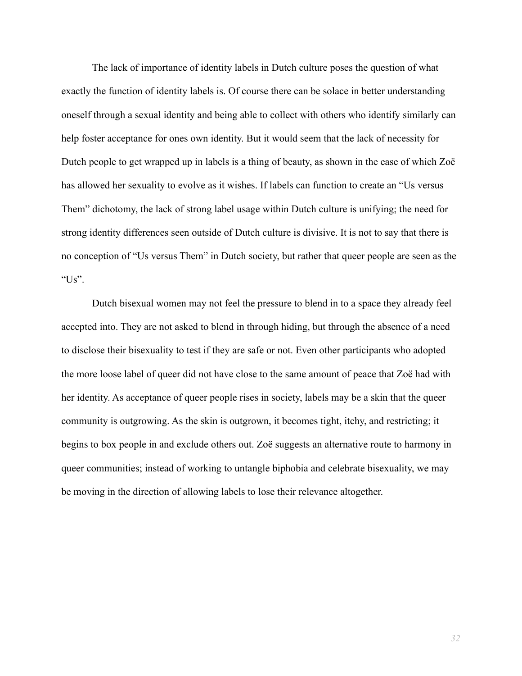The lack of importance of identity labels in Dutch culture poses the question of what exactly the function of identity labels is. Of course there can be solace in better understanding oneself through a sexual identity and being able to collect with others who identify similarly can help foster acceptance for ones own identity. But it would seem that the lack of necessity for Dutch people to get wrapped up in labels is a thing of beauty, as shown in the ease of which Zoë has allowed her sexuality to evolve as it wishes. If labels can function to create an "Us versus Them" dichotomy, the lack of strong label usage within Dutch culture is unifying; the need for strong identity differences seen outside of Dutch culture is divisive. It is not to say that there is no conception of "Us versus Them" in Dutch society, but rather that queer people are seen as the " $Us$ ".

Dutch bisexual women may not feel the pressure to blend in to a space they already feel accepted into. They are not asked to blend in through hiding, but through the absence of a need to disclose their bisexuality to test if they are safe or not. Even other participants who adopted the more loose label of queer did not have close to the same amount of peace that Zoë had with her identity. As acceptance of queer people rises in society, labels may be a skin that the queer community is outgrowing. As the skin is outgrown, it becomes tight, itchy, and restricting; it begins to box people in and exclude others out. Zoë suggests an alternative route to harmony in queer communities; instead of working to untangle biphobia and celebrate bisexuality, we may be moving in the direction of allowing labels to lose their relevance altogether.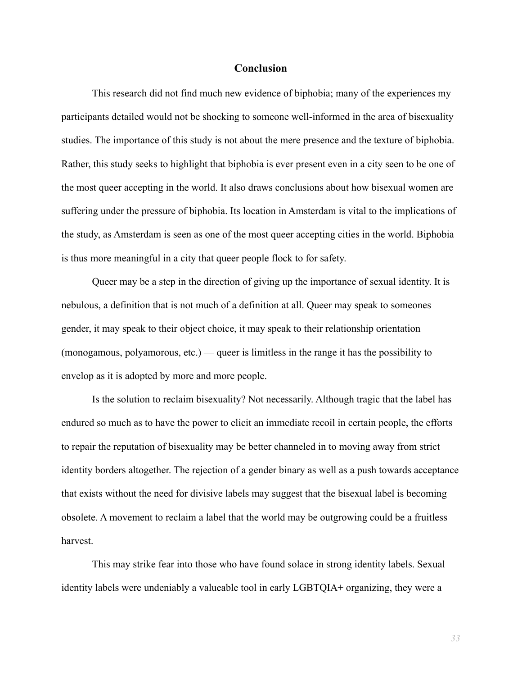#### **Conclusion**

This research did not find much new evidence of biphobia; many of the experiences my participants detailed would not be shocking to someone well-informed in the area of bisexuality studies. The importance of this study is not about the mere presence and the texture of biphobia. Rather, this study seeks to highlight that biphobia is ever present even in a city seen to be one of the most queer accepting in the world. It also draws conclusions about how bisexual women are suffering under the pressure of biphobia. Its location in Amsterdam is vital to the implications of the study, as Amsterdam is seen as one of the most queer accepting cities in the world. Biphobia is thus more meaningful in a city that queer people flock to for safety.

Queer may be a step in the direction of giving up the importance of sexual identity. It is nebulous, a definition that is not much of a definition at all. Queer may speak to someones gender, it may speak to their object choice, it may speak to their relationship orientation (monogamous, polyamorous, etc.) — queer is limitless in the range it has the possibility to envelop as it is adopted by more and more people.

Is the solution to reclaim bisexuality? Not necessarily. Although tragic that the label has endured so much as to have the power to elicit an immediate recoil in certain people, the efforts to repair the reputation of bisexuality may be better channeled in to moving away from strict identity borders altogether. The rejection of a gender binary as well as a push towards acceptance that exists without the need for divisive labels may suggest that the bisexual label is becoming obsolete. A movement to reclaim a label that the world may be outgrowing could be a fruitless harvest.

This may strike fear into those who have found solace in strong identity labels. Sexual identity labels were undeniably a valueable tool in early LGBTQIA+ organizing, they were a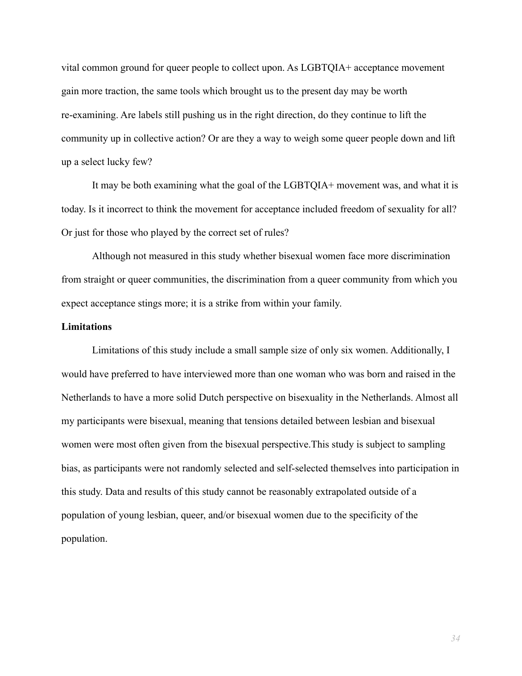vital common ground for queer people to collect upon. As LGBTQIA+ acceptance movement gain more traction, the same tools which brought us to the present day may be worth re-examining. Are labels still pushing us in the right direction, do they continue to lift the community up in collective action? Or are they a way to weigh some queer people down and lift up a select lucky few?

It may be both examining what the goal of the LGBTQIA+ movement was, and what it is today. Is it incorrect to think the movement for acceptance included freedom of sexuality for all? Or just for those who played by the correct set of rules?

Although not measured in this study whether bisexual women face more discrimination from straight or queer communities, the discrimination from a queer community from which you expect acceptance stings more; it is a strike from within your family.

#### **Limitations**

Limitations of this study include a small sample size of only six women. Additionally, I would have preferred to have interviewed more than one woman who was born and raised in the Netherlands to have a more solid Dutch perspective on bisexuality in the Netherlands. Almost all my participants were bisexual, meaning that tensions detailed between lesbian and bisexual women were most often given from the bisexual perspective.This study is subject to sampling bias, as participants were not randomly selected and self-selected themselves into participation in this study. Data and results of this study cannot be reasonably extrapolated outside of a population of young lesbian, queer, and/or bisexual women due to the specificity of the population.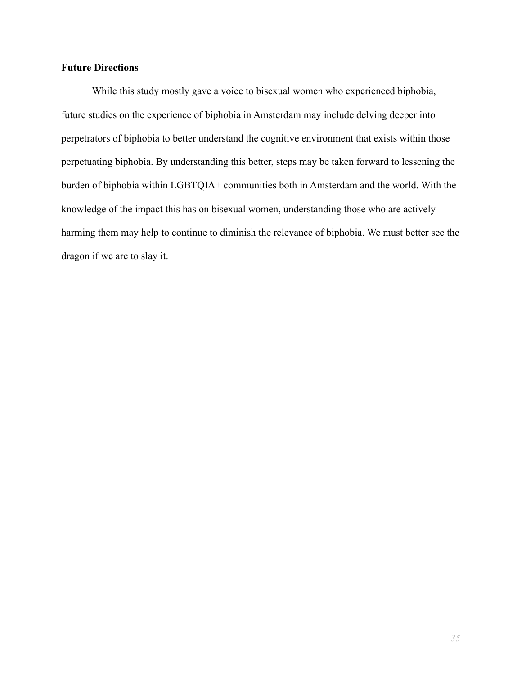### **Future Directions**

While this study mostly gave a voice to bisexual women who experienced biphobia, future studies on the experience of biphobia in Amsterdam may include delving deeper into perpetrators of biphobia to better understand the cognitive environment that exists within those perpetuating biphobia. By understanding this better, steps may be taken forward to lessening the burden of biphobia within LGBTQIA+ communities both in Amsterdam and the world. With the knowledge of the impact this has on bisexual women, understanding those who are actively harming them may help to continue to diminish the relevance of biphobia. We must better see the dragon if we are to slay it.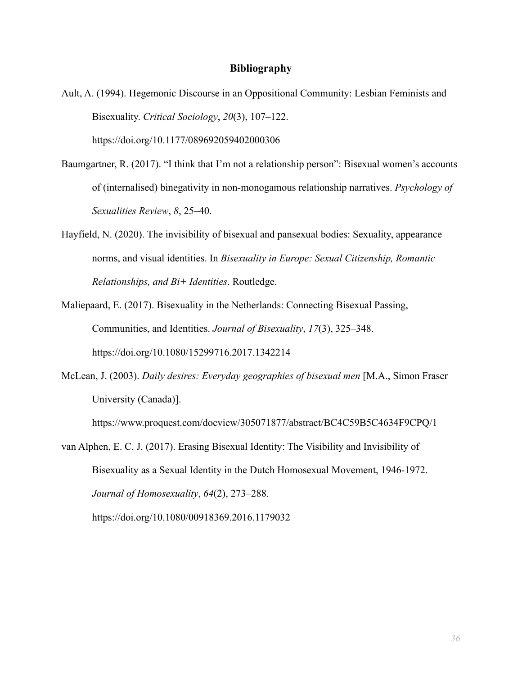#### **Bibliography**

- [Ault, A. \(1994\). Hegemonic Discourse in an Oppositional Community: Lesbian Feminists and](https://www.zotero.org/google-docs/?u4tKI0) Bisexuality. *[Critical Sociology](https://www.zotero.org/google-docs/?u4tKI0)*, *20*(3), 107–122. [https://doi.org/10.1177/089692059402000306](https://www.zotero.org/google-docs/?u4tKI0)
- [Baumgartner, R. \(2017\). "I think that I'm not a relationship person": Bisexual women's accounts](https://www.zotero.org/google-docs/?u4tKI0) [of \(internalised\) binegativity in non-monogamous relationship narratives.](https://www.zotero.org/google-docs/?u4tKI0) *Psychology of [Sexualities Review](https://www.zotero.org/google-docs/?u4tKI0)*, *8*, 25–40.
- [Hayfield, N. \(2020\). The invisibility of bisexual and pansexual bodies: Sexuality, appearance](https://www.zotero.org/google-docs/?u4tKI0) [norms, and visual identities. In](https://www.zotero.org/google-docs/?u4tKI0) *Bisexuality in Europe: Sexual Citizenship, Romantic [Relationships, and Bi+ Identities](https://www.zotero.org/google-docs/?u4tKI0)*. Routledge.
- [Maliepaard, E. \(2017\). Bisexuality in the Netherlands: Connecting Bisexual Passing,](https://www.zotero.org/google-docs/?u4tKI0) [Communities, and Identities.](https://www.zotero.org/google-docs/?u4tKI0) *Journal of Bisexuality*, *17*(3), 325–348. [https://doi.org/10.1080/15299716.2017.1342214](https://www.zotero.org/google-docs/?u4tKI0)
- McLean, J. (2003). *[Daily desires: Everyday geographies](https://www.zotero.org/google-docs/?u4tKI0) of bisexual men* [M.A., Simon Fraser [University \(Canada\)\].](https://www.zotero.org/google-docs/?u4tKI0)

[https://www.proquest.com/docview/305071877/abstract/BC4C59B5C4634F9CPQ/1](https://www.zotero.org/google-docs/?u4tKI0)

[van Alphen, E. C. J. \(2017\). Erasing Bisexual Identity: The Visibility and Invisibility of](https://www.zotero.org/google-docs/?u4tKI0) [Bisexuality as a Sexual Identity in the Dutch Homosexual Movement, 1946-1972.](https://www.zotero.org/google-docs/?u4tKI0) *[Journal of Homosexuality](https://www.zotero.org/google-docs/?u4tKI0)*, *64*(2), 273–288.

[https://doi.org/10.1080/00918369.2016.1179032](https://www.zotero.org/google-docs/?u4tKI0)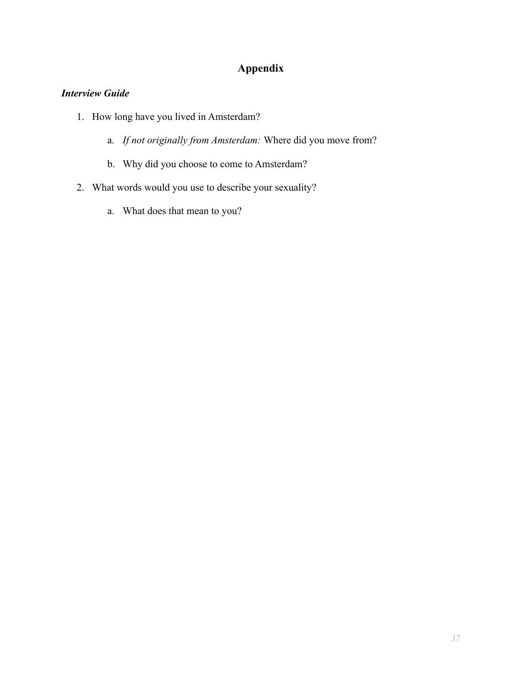## **Appendix**

## *Interview Guide*

- 1. How long have you lived in Amsterdam?
	- a. *If not originally from Amsterdam:* Where did you move from?
	- b. Why did you choose to come to Amsterdam?
- 2. What words would you use to describe your sexuality?
	- a. What does that mean to you?